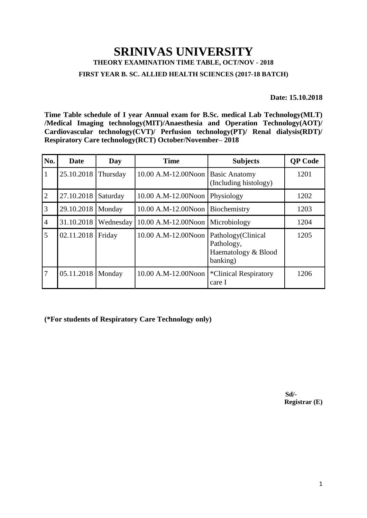## **SRINIVAS UNIVERSITY THEORY EXAMINATION TIME TABLE, OCT/NOV - 2018**

**FIRST YEAR B. SC. ALLIED HEALTH SCIENCES (2017-18 BATCH)**

**Date: 15.10.2018**

**Time Table schedule of I year Annual exam for B.Sc. medical Lab Technology(MLT) /Medical Imaging technology(MIT)/Anaesthesia and Operation Technology(AOT)/ Cardiovascular technology(CVT)/ Perfusion technology(PT)/ Renal dialysis(RDT)/ Respiratory Care technology(RCT) October/November– 2018**

| No.            | <b>Date</b> | Day       | <b>Time</b>                       | <b>Subjects</b>                                                     | <b>QP</b> Code |
|----------------|-------------|-----------|-----------------------------------|---------------------------------------------------------------------|----------------|
| $\mathbf{1}$   | 25.10.2018  | Thursday  | 10.00 A.M-12.00Noon Basic Anatomy | (Including histology)                                               | 1201           |
| $\overline{2}$ | 27.10.2018  | Saturday  | $10.00$ A.M-12.00Noon Physiology  |                                                                     | 1202           |
| $\overline{3}$ | 29.10.2018  | Monday    | 10.00 A.M-12.00Noon               | Biochemistry                                                        | 1203           |
| $\overline{4}$ | 31.10.2018  | Wednesday | 10.00 A.M-12.00Noon Microbiology  |                                                                     | 1204           |
| 5              | 02.11.2018  | Friday    | 10.00 A.M-12.00Noon               | Pathology(Clinical<br>Pathology,<br>Haematology & Blood<br>banking) | 1205           |
| 7              | 05.11.2018  | Monday    | 10.00 A.M-12.00Noon               | <i>*</i> Clinical Respiratory<br>care I                             | 1206           |

**(\*For students of Respiratory Care Technology only)**

 **Sd/- Registrar (E)**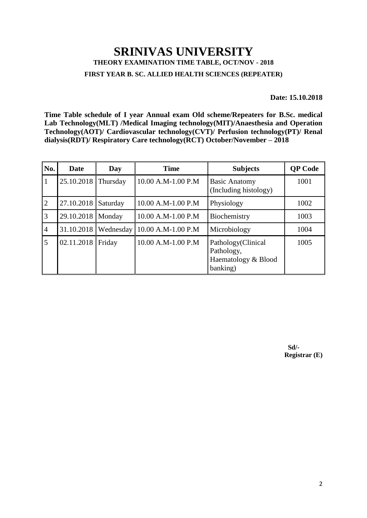## **SRINIVAS UNIVERSITY THEORY EXAMINATION TIME TABLE, OCT/NOV - 2018 FIRST YEAR B. SC. ALLIED HEALTH SCIENCES (REPEATER)**

**Date: 15.10.2018** 

**Time Table schedule of I year Annual exam Old scheme/Repeaters for B.Sc. medical Lab Technology(MLT) /Medical Imaging technology(MIT)/Anaesthesia and Operation Technology(AOT)/ Cardiovascular technology(CVT)/ Perfusion technology(PT)/ Renal dialysis(RDT)/ Respiratory Care technology(RCT) October/November – 2018**

| No.            | Date       | Day       | <b>Time</b>        | <b>Subjects</b>                                                     | <b>QP</b> Code |
|----------------|------------|-----------|--------------------|---------------------------------------------------------------------|----------------|
| $\mathbf{1}$   | 25.10.2018 | Thursday  | 10.00 A.M-1.00 P.M | <b>Basic Anatomy</b><br>(Including histology)                       | 1001           |
| $\overline{2}$ | 27.10.2018 | Saturday  | 10.00 A.M-1.00 P.M | Physiology                                                          | 1002           |
| 3              | 29.10.2018 | Monday    | 10.00 A.M-1.00 P.M | Biochemistry                                                        | 1003           |
| $\overline{4}$ | 31.10.2018 | Wednesday | 10.00 A.M-1.00 P.M | Microbiology                                                        | 1004           |
| 5              | 02.11.2018 | Friday    | 10.00 A.M-1.00 P.M | Pathology(Clinical<br>Pathology,<br>Haematology & Blood<br>banking) | 1005           |

 **Sd/- Registrar (E)**